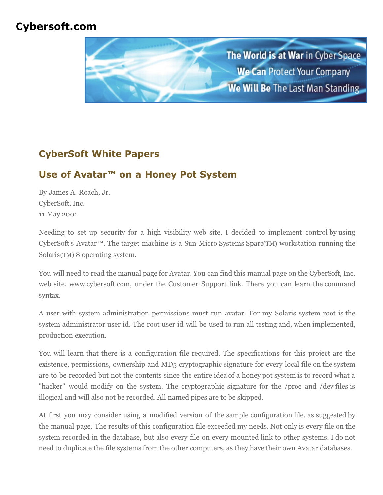# **Cybersoft.com**



# **CyberSoft White Papers**

# **Use of Avatar™ on a Honey Pot System**

By James A. Roach, Jr. CyberSoft, Inc. 11 May 2001

Needing to set up security for a high visibility web site, I decided to implement control by using CyberSoft's Avatar™. The target machine is a Sun Micro Systems Sparc(TM) workstation running the Solaris(TM) 8 operating system.

You will need to read the manual page for Avatar. You can find this manual page on the CyberSoft, Inc. web site, www.cybersoft.com, under the Customer Support link. There you can learn the command syntax.

A user with system administration permissions must run avatar. For my Solaris system root is the system administrator user id. The root user id will be used to run all testing and, when implemented, production execution.

You will learn that there is a configuration file required. The specifications for this project are the existence, permissions, ownership and MD5 cryptographic signature for every local file on the system are to be recorded but not the contents since the entire idea of a honey pot system is to record what a "hacker" would modify on the system. The cryptographic signature for the /proc and /dev files is illogical and will also not be recorded. All named pipes are to be skipped.

At first you may consider using a modified version of the sample configuration file, as suggested by the manual page. The results of this configuration file exceeded my needs. Not only is every file on the system recorded in the database, but also every file on every mounted link to other systems. I do not need to duplicate the file systems from the other computers, as they have their own Avatar databases.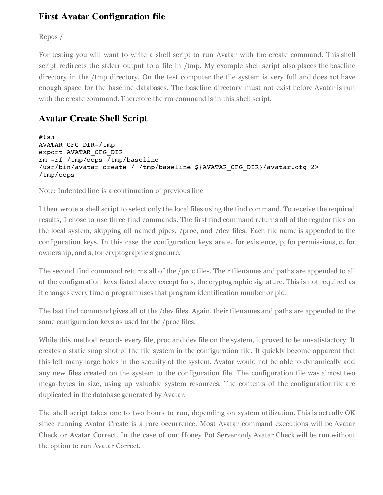### **First Avatar Configuration file**

Repos /

For testing you will want to write a shell script to run Avatar with the create command. This shell script redirects the stderr output to a file in /tmp. My example shell script also places the baseline directory in the /tmp directory. On the test computer the file system is very full and does not have enough space for the baseline databases. The baseline directory must not exist before Avatar is run with the create command. Therefore the rm command is in this shell script.

## **Avatar Create Shell Script**

```
#!sh
AVATAR_CFG_DIR=/tmp
export AVATAR_CFG_DIR
rm -rf /tmp/oops /tmp/baseline
/usr/bin/avatar create / /tmp/baseline ${AVATAR_CFG_DIR}/avatar.cfg 2>
/tmp/oops
```
Note: Indented line is a continuation of previous line

I then wrote a shell script to select only the local files using the find command. To receive the required results, I chose to use three find commands. The first find command returns all of the regular files on the local system, skipping all named pipes, /proc, and /dev files. Each file name is appended to the configuration keys. In this case the configuration keys are e, for existence, p, for permissions, o, for ownership, and s, for cryptographic signature.

The second find command returns all of the /proc files. Their filenames and paths are appended to all of the configuration keys listed above except for s, the cryptographic signature. This is not required as it changes every time a program uses that program identification number or pid.

The last find command gives all of the /dev files. Again, their filenames and paths are appended to the same configuration keys as used for the /proc files.

While this method records every file, proc and dev file on the system, it proved to be unsatisfactory. It creates a static snap shot of the file system in the configuration file. It quickly become apparent that this left many large holes in the security of the system. Avatar would not be able to dynamically add any new files created on the system to the configuration file. The configuration file was almost two mega-bytes in size, using up valuable system resources. The contents of the configuration file are duplicated in the database generated by Avatar.

The shell script takes one to two hours to run, depending on system utilization. This is actually OK since running Avatar Create is a rare occurrence. Most Avatar command executions will be Avatar Check or Avatar Correct. In the case of our Honey Pot Server only Avatar Check will be run without the option to run Avatar Correct.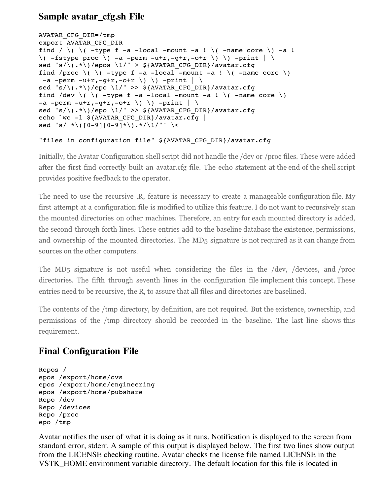#### **Sample avatar\_cfg.sh File**

```
AVATAR_CFG_DIR=/tmp
export AVATAR_CFG_DIR
find / \setminus \setminus \setminus -type f -a -local -mount -a ! \setminus -name core \setminus -a !
\setminus ( -fstype proc \setminus ) -a -perm -u+r,-q+r,-o+r \setminus \setminus ) -print | \setminussed "s/\(.*\)/epos \1/" > ${AVATAR_CFG_DIR}/avatar.cfg
find /proc \( \( -type f -a -local -mount -a ! \( -name core \)
 -a -perm -u+r, -q+r, -o+r \) \) -print | \
sed "s/\(.*\)/epo \1/" >> ${AVATAR CFG DIR}/avatar.cfg
find /dev \( \( -type f -a -local -mount -a ! \( -name core \)
-a -perm -u+r,-g+r,-o+r \ \nightharpoonup\ ) \ \nightharpoonup\ -print |\ \nightharpoonup\sed "s/\(.*\)/epo \1/" >> ${AVATAR CFG DIR}/avatar.cfg
echo `wc -1 ${AVATAR CFG DIR}/avatar.cfg |
sed "s/ *\([0-9][0-9]*\).*/\1/"` \<
```
#### "files in configuration file" \${AVATAR\_CFG\_DIR}/avatar.cfg

Initially, the Avatar Configuration shell script did not handle the /dev or /proc files. These were added after the first find correctly built an avatar.cfg file. The echo statement at the end of the shell script provides positive feedback to the operator.

The need to use the recursive ,R, feature is necessary to create a manageable configuration file. My first attempt at a configuration file is modified to utilize this feature. I do not want to recursively scan the mounted directories on other machines. Therefore, an entry for each mounted directory is added, the second through forth lines. These entries add to the baseline database the existence, permissions, and ownership of the mounted directories. The MD5 signature is not required as it can change from sources on the other computers.

The MD5 signature is not useful when considering the files in the /dev, /devices, and /proc directories. The fifth through seventh lines in the configuration file implement this concept. These entries need to be recursive, the R, to assure that all files and directories are baselined.

The contents of the /tmp directory, by definition, are not required. But the existence, ownership, and permissions of the /tmp directory should be recorded in the baseline. The last line shows this requirement.

### **Final Configuration File**

```
Repos /
epos /export/home/cvs
epos /export/home/engineering
epos /export/home/pubshare
Repo /dev
Repo /devices
Repo /proc
epo /tmp
```
Avatar notifies the user of what it is doing as it runs. Notification is displayed to the screen from standard error, stderr. A sample of this output is displayed below. The first two lines show output from the LICENSE checking routine. Avatar checks the license file named LICENSE in the VSTK\_HOME environment variable directory. The default location for this file is located in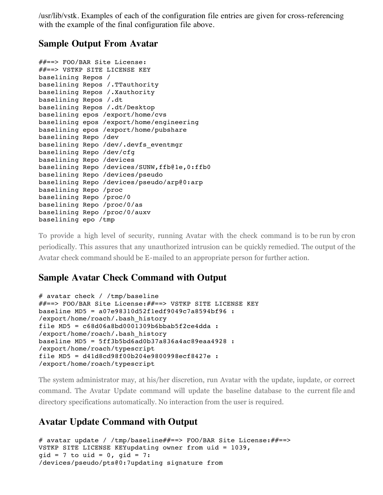/usr/lib/vstk. Examples of each of the configuration file entries are given for cross-referencing with the example of the final configuration file above.

#### **Sample Output From Avatar**

```
##==> FOO/BAR Site License:
##==> VSTKP SITE LICENSE KEY
baselining Repos /
baselining Repos /.TTauthority
baselining Repos /.Xauthority
baselining Repos /.dt
baselining Repos /.dt/Desktop
baselining epos /export/home/cvs
baselining epos /export/home/engineering
baselining epos /export/home/pubshare
baselining Repo /dev
baselining Repo /dev/.devfs_eventmgr
baselining Repo /dev/cfg
baselining Repo /devices
baselining Repo /devices/SUNW,ffb@1e,0:ffb0
baselining Repo /devices/pseudo
baselining Repo /devices/pseudo/arp@0:arp
baselining Repo /proc
baselining Repo /proc/0
baselining Repo /proc/0/as
baselining Repo /proc/0/auxv
baselining epo /tmp
```
To provide a high level of security, running Avatar with the check command is to be run by cron periodically. This assures that any unauthorized intrusion can be quickly remedied. The output of the Avatar check command should be E-mailed to an appropriate person for further action.

### **Sample Avatar Check Command with Output**

```
# avatar check / /tmp/baseline
##==> FOO/BAR Site License:##==> VSTKP SITE LICENSE KEY
baseline MD5 = a07e98310d52f1edf9049c7a8594bf96 : 
/export/home/roach/.bash_history
file MD5 = c68d06a8bd0001309b6bbab5f2ce4dda :
/export/home/roach/.bash_history
baseline MD5 = 5ff3b5bd6ad0b37a836a4ac89eaa4928 :
/export/home/roach/typescript
file MD5 = d41d8cd98f00b204e9800998ecf8427e : 
/export/home/roach/typescript
```
The system administrator may, at his/her discretion, run Avatar with the update, iupdate, or correct command. The Avatar Update command will update the baseline database to the current file and directory specifications automatically. No interaction from the user is required.

### **Avatar Update Command with Output**

```
# avatar update / /tmp/baseline##==> FOO/BAR Site License:##==>
VSTKP SITE LICENSE KEYupdating owner from uid = 1039, 
gid = 7 to vid = 0, gid = 7:/devices/pseudo/pts@0:7updating signature from
```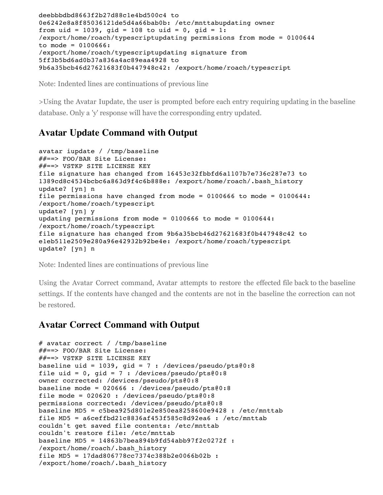```
deebbbdbd8663f2b27d88c1e4bd500c4 to
0e6242e8a8f85036121de5d4a66bab0b: /etc/mnttabupdating owner 
from uid = 1039, gid = 108 to uid = 0, gid = 1:
/export/home/roach/typescriptupdating permissions from mode = 0100644 
to mode = 0100666:
/export/home/roach/typescriptupdating signature from 
5ff3b5bd6ad0b37a836a4ac89eaa4928 to
9b6a35bcb46d27621683f0b447948c42: /export/home/roach/typescript
```
Note: Indented lines are continuations of previous line

>Using the Avatar Iupdate, the user is prompted before each entry requiring updating in the baseline database. Only a 'y' response will have the corresponding entry updated.

#### **Avatar Update Command with Output**

```
avatar iupdate / /tmp/baseline
##==> FOO/BAR Site License:
##==> VSTKP SITE LICENSE KEY
file signature has changed from 16453c32fbbfd6a1107b7e736c287e73 to
1389cd8c4534bcbc6a863d9f4c6b888e: /export/home/roach/.bash_history
update? [yn] n
file permissions have changed from mode = 0100666 to mode = 0100644:
/export/home/roach/typescript
update? [yn] y
updating permissions from mode = 0100666 to mode = 0100644:
/export/home/roach/typescript
file signature has changed from 9b6a35bcb46d27621683f0b447948c42 to
e1eb511e2509e280a96e42932b92be4e: /export/home/roach/typescript
update? [yn] n
```
Note: Indented lines are continuations of previous line

Using the Avatar Correct command, Avatar attempts to restore the effected file back to the baseline settings. If the contents have changed and the contents are not in the baseline the correction can not be restored.

#### **Avatar Correct Command with Output**

```
# avatar correct / /tmp/baseline
##==> FOO/BAR Site License:
##==> VSTKP SITE LICENSE KEY
baseline uid = 1039, gid = 7 : /devices/pseudo/pts@:8file uid = 0, gid = 7 : /devices/pseudo/pts0:8owner corrected: /devices/pseudo/pts@0:8
baseline mode = 020666 : /devices/pseudo/pts@0:8
file mode = 020620 : /devices/pseudo/pts0:8permissions corrected: /devices/pseudo/pts@0:8
baseline MD5 = c5bea925d801e2e850ea8258600e9428 : /etc/mnttab
file MD5 = a6ceffbd21c8836af453f585c8d92ea6 : /etc/mnttab
couldn't get saved file contents: /etc/mnttab
couldn't restore file: /etc/mnttab
baseline MD5 = 14863b7bea894b9fd54abb97f2c0272f :
/export/home/roach/.bash_history
file MD5 = 17dad806778cc7374c388b2e0066b02b :
/export/home/roach/.bash_history
```